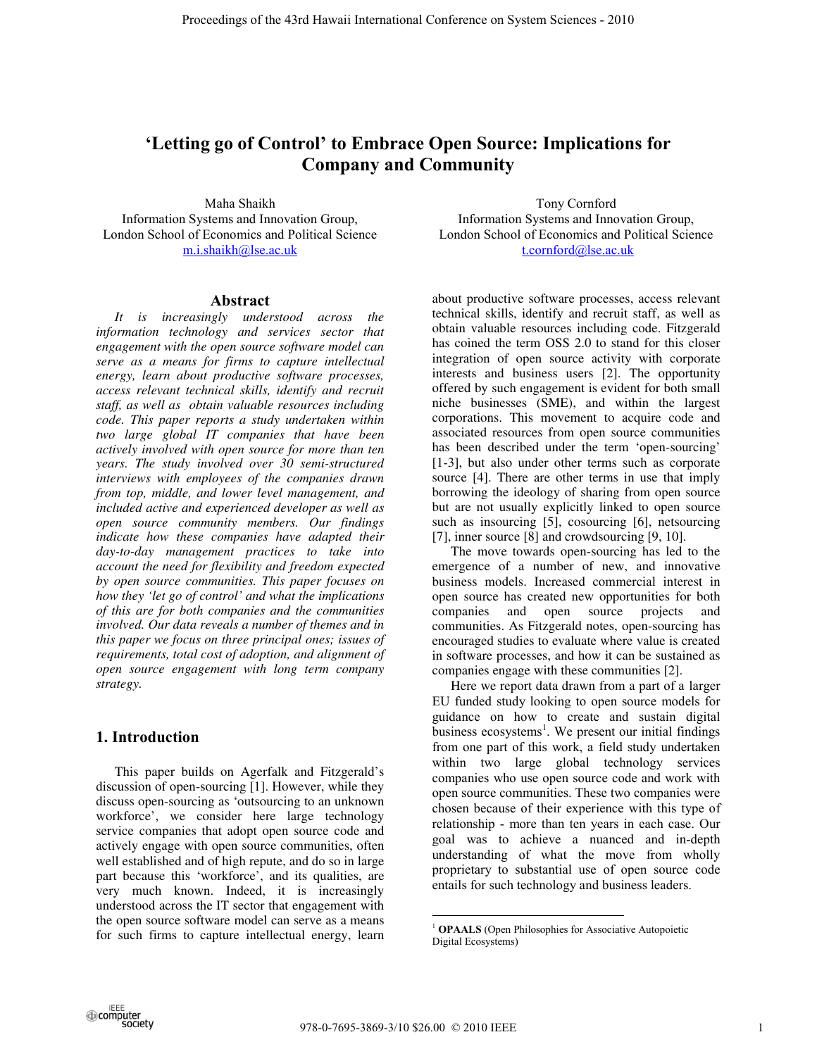# **'Letting go of Control' to Embrace Open Source: Implications for Company and Community**

Maha Shaikh

Information Systems and Innovation Group, London School of Economics and Political Science m.i.shaikh@lse.ac.uk

## **Abstract**

*It is increasingly understood across the information technology and services sector that engagement with the open source software model can serve as a means for firms to capture intellectual energy, learn about productive software processes, access relevant technical skills, identify and recruit staff, as well as obtain valuable resources including code. This paper reports a study undertaken within two large global IT companies that have been actively involved with open source for more than ten years. The study involved over 30 semi-structured interviews with employees of the companies drawn from top, middle, and lower level management, and included active and experienced developer as well as open source community members. Our findings indicate how these companies have adapted their day-to-day management practices to take into account the need for flexibility and freedom expected by open source communities. This paper focuses on how they 'let go of control' and what the implications of this are for both companies and the communities involved. Our data reveals a number of themes and in this paper we focus on three principal ones; issues of requirements, total cost of adoption, and alignment of open source engagement with long term company strategy.* 

## **1. Introduction**

This paper builds on Agerfalk and Fitzgerald's discussion of open-sourcing [1]. However, while they discuss open-sourcing as 'outsourcing to an unknown workforce', we consider here large technology service companies that adopt open source code and actively engage with open source communities, often well established and of high repute, and do so in large part because this 'workforce', and its qualities, are very much known. Indeed, it is increasingly understood across the IT sector that engagement with the open source software model can serve as a means for such firms to capture intellectual energy, learn

Tony Cornford Information Systems and Innovation Group, London School of Economics and Political Science t.cornford@lse.ac.uk

about productive software processes, access relevant technical skills, identify and recruit staff, as well as obtain valuable resources including code. Fitzgerald has coined the term OSS 2.0 to stand for this closer integration of open source activity with corporate interests and business users [2]. The opportunity offered by such engagement is evident for both small niche businesses (SME), and within the largest corporations. This movement to acquire code and associated resources from open source communities has been described under the term 'open-sourcing' [1-3], but also under other terms such as corporate source [4]. There are other terms in use that imply borrowing the ideology of sharing from open source but are not usually explicitly linked to open source such as insourcing [5], cosourcing [6], netsourcing [7], inner source [8] and crowdsourcing [9, 10].

The move towards open-sourcing has led to the emergence of a number of new, and innovative business models. Increased commercial interest in open source has created new opportunities for both companies and open source projects and communities. As Fitzgerald notes, open-sourcing has encouraged studies to evaluate where value is created in software processes, and how it can be sustained as companies engage with these communities [2].

Here we report data drawn from a part of a larger EU funded study looking to open source models for guidance on how to create and sustain digital business ecosystems<sup>1</sup>. We present our initial findings from one part of this work, a field study undertaken within two large global technology services companies who use open source code and work with open source communities. These two companies were chosen because of their experience with this type of relationship - more than ten years in each case. Our goal was to achieve a nuanced and in-depth understanding of what the move from wholly proprietary to substantial use of open source code entails for such technology and business leaders.

 $\overline{a}$ <sup>1</sup> **OPAALS** (Open Philosophies for Associative Autopoietic Digital Ecosystems)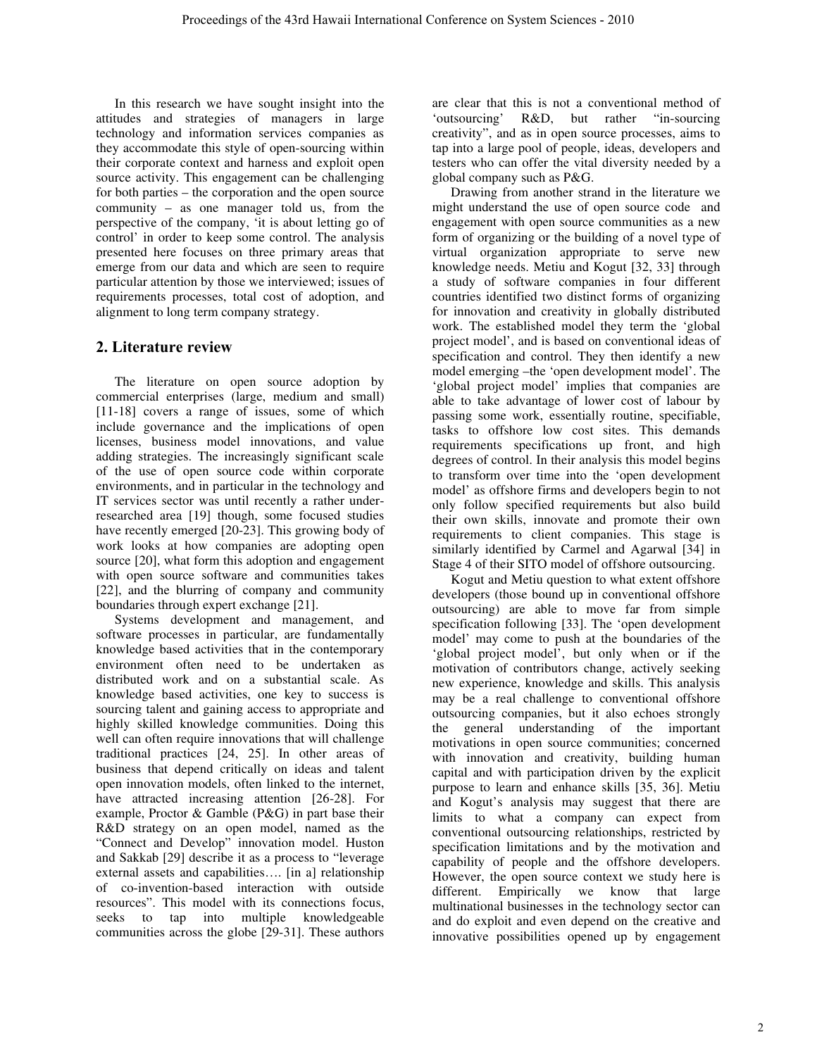In this research we have sought insight into the attitudes and strategies of managers in large technology and information services companies as they accommodate this style of open-sourcing within their corporate context and harness and exploit open source activity. This engagement can be challenging for both parties – the corporation and the open source community – as one manager told us, from the perspective of the company, 'it is about letting go of control' in order to keep some control. The analysis presented here focuses on three primary areas that emerge from our data and which are seen to require particular attention by those we interviewed; issues of requirements processes, total cost of adoption, and alignment to long term company strategy.

## **2. Literature review**

The literature on open source adoption by commercial enterprises (large, medium and small) [11-18] covers a range of issues, some of which include governance and the implications of open licenses, business model innovations, and value adding strategies. The increasingly significant scale of the use of open source code within corporate environments, and in particular in the technology and IT services sector was until recently a rather underresearched area [19] though, some focused studies have recently emerged [20-23]. This growing body of work looks at how companies are adopting open source [20], what form this adoption and engagement with open source software and communities takes [22], and the blurring of company and community boundaries through expert exchange [21].

Systems development and management, and software processes in particular, are fundamentally knowledge based activities that in the contemporary environment often need to be undertaken as distributed work and on a substantial scale. As knowledge based activities, one key to success is sourcing talent and gaining access to appropriate and highly skilled knowledge communities. Doing this well can often require innovations that will challenge traditional practices [24, 25]. In other areas of business that depend critically on ideas and talent open innovation models, often linked to the internet, have attracted increasing attention [26-28]. For example, Proctor & Gamble (P&G) in part base their R&D strategy on an open model, named as the "Connect and Develop" innovation model. Huston and Sakkab [29] describe it as a process to "leverage external assets and capabilities…. [in a] relationship of co-invention-based interaction with outside resources". This model with its connections focus, seeks to tap into multiple knowledgeable communities across the globe [29-31]. These authors

are clear that this is not a conventional method of 'outsourcing' R&D, but rather "in-sourcing creativity", and as in open source processes, aims to tap into a large pool of people, ideas, developers and testers who can offer the vital diversity needed by a global company such as P&G.

Drawing from another strand in the literature we might understand the use of open source code and engagement with open source communities as a new form of organizing or the building of a novel type of virtual organization appropriate to serve new knowledge needs. Metiu and Kogut [32, 33] through a study of software companies in four different countries identified two distinct forms of organizing for innovation and creativity in globally distributed work. The established model they term the 'global project model', and is based on conventional ideas of specification and control. They then identify a new model emerging –the 'open development model'. The 'global project model' implies that companies are able to take advantage of lower cost of labour by passing some work, essentially routine, specifiable, tasks to offshore low cost sites. This demands requirements specifications up front, and high degrees of control. In their analysis this model begins to transform over time into the 'open development model' as offshore firms and developers begin to not only follow specified requirements but also build their own skills, innovate and promote their own requirements to client companies. This stage is similarly identified by Carmel and Agarwal [34] in Stage 4 of their SITO model of offshore outsourcing.

Kogut and Metiu question to what extent offshore developers (those bound up in conventional offshore outsourcing) are able to move far from simple specification following [33]. The 'open development model' may come to push at the boundaries of the 'global project model', but only when or if the motivation of contributors change, actively seeking new experience, knowledge and skills. This analysis may be a real challenge to conventional offshore outsourcing companies, but it also echoes strongly the general understanding of the important motivations in open source communities; concerned with innovation and creativity, building human capital and with participation driven by the explicit purpose to learn and enhance skills [35, 36]. Metiu and Kogut's analysis may suggest that there are limits to what a company can expect from conventional outsourcing relationships, restricted by specification limitations and by the motivation and capability of people and the offshore developers. However, the open source context we study here is different. Empirically we know that large multinational businesses in the technology sector can and do exploit and even depend on the creative and innovative possibilities opened up by engagement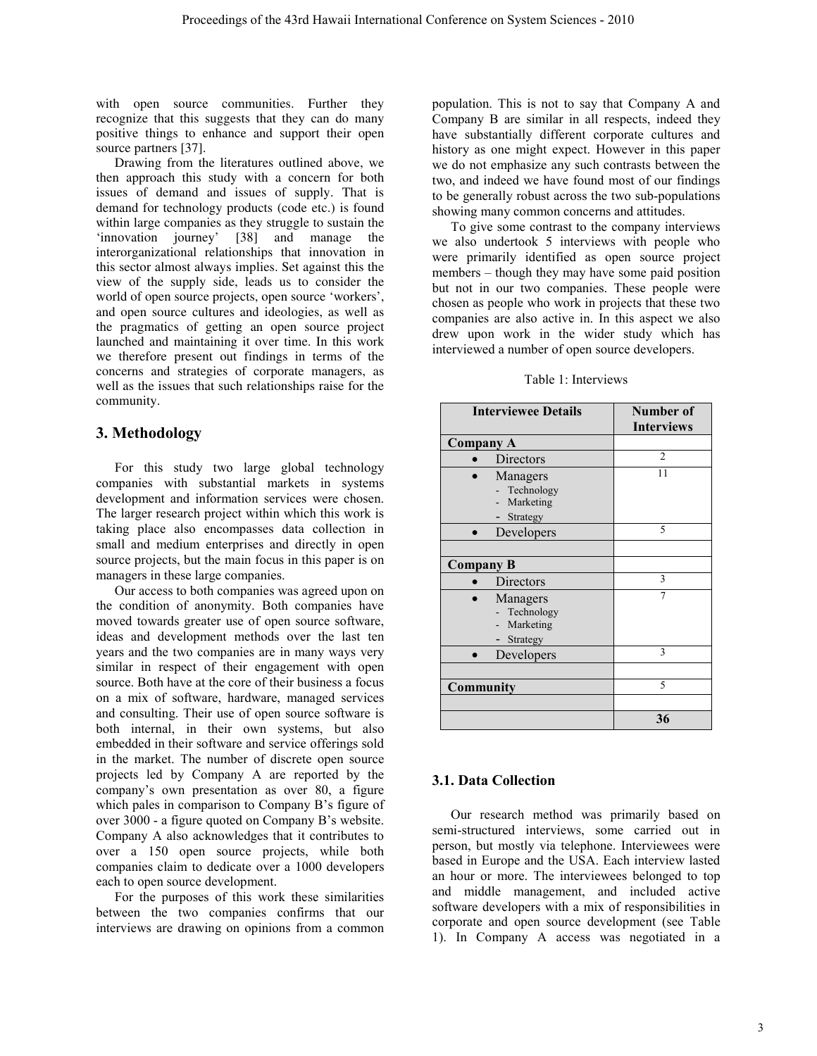with open source communities. Further they recognize that this suggests that they can do many positive things to enhance and support their open source partners [37].

Drawing from the literatures outlined above, we then approach this study with a concern for both issues of demand and issues of supply. That is demand for technology products (code etc.) is found within large companies as they struggle to sustain the 'innovation journey' [38] and manage the interorganizational relationships that innovation in this sector almost always implies. Set against this the view of the supply side, leads us to consider the world of open source projects, open source 'workers', and open source cultures and ideologies, as well as the pragmatics of getting an open source project launched and maintaining it over time. In this work we therefore present out findings in terms of the concerns and strategies of corporate managers, as well as the issues that such relationships raise for the community.

## **3. Methodology**

For this study two large global technology companies with substantial markets in systems development and information services were chosen. The larger research project within which this work is taking place also encompasses data collection in small and medium enterprises and directly in open source projects, but the main focus in this paper is on managers in these large companies.

Our access to both companies was agreed upon on the condition of anonymity. Both companies have moved towards greater use of open source software, ideas and development methods over the last ten years and the two companies are in many ways very similar in respect of their engagement with open source. Both have at the core of their business a focus on a mix of software, hardware, managed services and consulting. Their use of open source software is both internal, in their own systems, but also embedded in their software and service offerings sold in the market. The number of discrete open source projects led by Company A are reported by the company's own presentation as over 80, a figure which pales in comparison to Company B's figure of over 3000 - a figure quoted on Company B's website. Company A also acknowledges that it contributes to over a 150 open source projects, while both companies claim to dedicate over a 1000 developers each to open source development.

For the purposes of this work these similarities between the two companies confirms that our interviews are drawing on opinions from a common

population. This is not to say that Company A and Company B are similar in all respects, indeed they have substantially different corporate cultures and history as one might expect. However in this paper we do not emphasize any such contrasts between the two, and indeed we have found most of our findings to be generally robust across the two sub-populations showing many common concerns and attitudes.

To give some contrast to the company interviews we also undertook 5 interviews with people who were primarily identified as open source project members – though they may have some paid position but not in our two companies. These people were chosen as people who work in projects that these two companies are also active in. In this aspect we also drew upon work in the wider study which has interviewed a number of open source developers.

#### Table 1: Interviews

| <b>Interviewee Details</b> |                                                 | Number of<br><b>Interviews</b> |  |
|----------------------------|-------------------------------------------------|--------------------------------|--|
| <b>Company A</b>           |                                                 |                                |  |
|                            | Directors                                       | $\overline{2}$                 |  |
|                            | Managers<br>Technology<br>Marketing<br>Strategy | 11                             |  |
|                            | Developers                                      | 5                              |  |
|                            |                                                 |                                |  |
| <b>Company B</b>           |                                                 |                                |  |
|                            | Directors                                       | 3                              |  |
|                            | Managers<br>Technology<br>Marketing<br>Strategy |                                |  |
|                            | Developers                                      | 3                              |  |
|                            |                                                 |                                |  |
| Community                  |                                                 | 5                              |  |
|                            |                                                 |                                |  |
|                            |                                                 | 36                             |  |

#### **3.1. Data Collection**

Our research method was primarily based on semi-structured interviews, some carried out in person, but mostly via telephone. Interviewees were based in Europe and the USA. Each interview lasted an hour or more. The interviewees belonged to top and middle management, and included active software developers with a mix of responsibilities in corporate and open source development (see Table 1). In Company A access was negotiated in a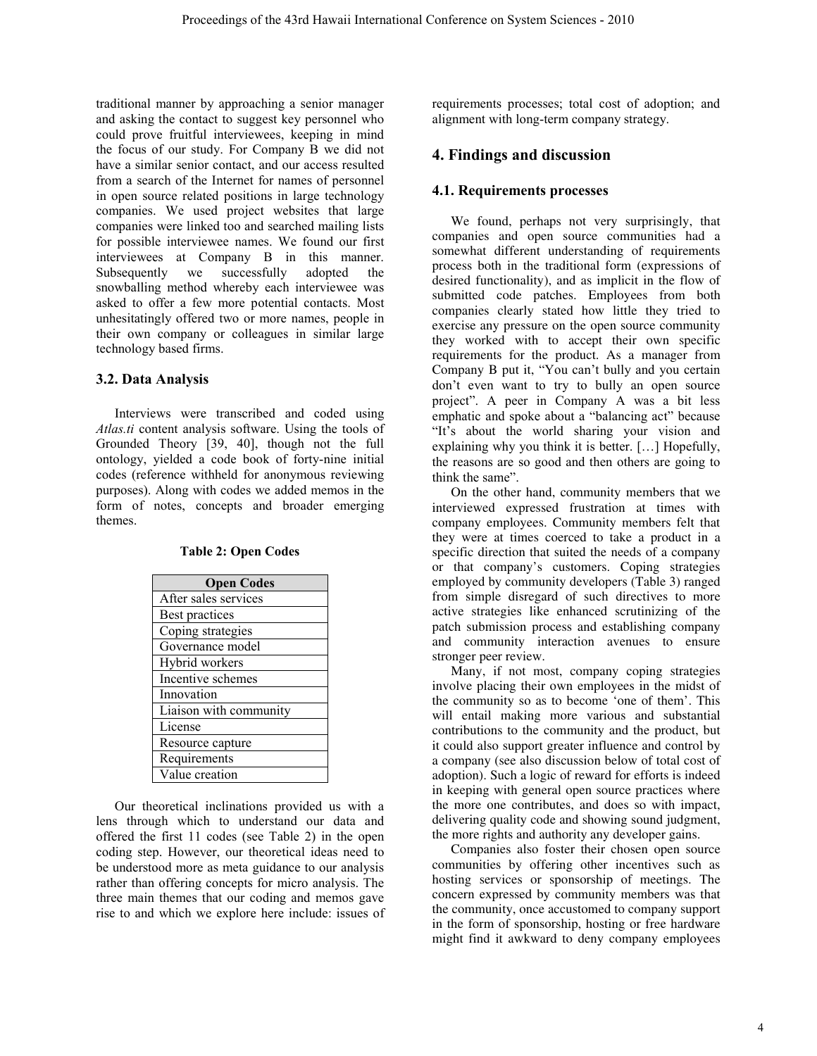traditional manner by approaching a senior manager and asking the contact to suggest key personnel who could prove fruitful interviewees, keeping in mind the focus of our study. For Company B we did not have a similar senior contact, and our access resulted from a search of the Internet for names of personnel in open source related positions in large technology companies. We used project websites that large companies were linked too and searched mailing lists for possible interviewee names. We found our first interviewees at Company B in this manner. Subsequently we successfully adopted the snowballing method whereby each interviewee was asked to offer a few more potential contacts. Most unhesitatingly offered two or more names, people in their own company or colleagues in similar large technology based firms.

## **3.2. Data Analysis**

Interviews were transcribed and coded using *Atlas.ti* content analysis software. Using the tools of Grounded Theory [39, 40], though not the full ontology, yielded a code book of forty-nine initial codes (reference withheld for anonymous reviewing purposes). Along with codes we added memos in the form of notes, concepts and broader emerging themes.

| <b>Open Codes</b>      |  |  |
|------------------------|--|--|
| After sales services   |  |  |
| Best practices         |  |  |
| Coping strategies      |  |  |
| Governance model       |  |  |
| Hybrid workers         |  |  |
| Incentive schemes      |  |  |
| Innovation             |  |  |
| Liaison with community |  |  |
| License                |  |  |
| Resource capture       |  |  |
| Requirements           |  |  |
| Value creation         |  |  |

#### **Table 2: Open Codes**

Our theoretical inclinations provided us with a lens through which to understand our data and offered the first 11 codes (see Table 2) in the open coding step. However, our theoretical ideas need to be understood more as meta guidance to our analysis rather than offering concepts for micro analysis. The three main themes that our coding and memos gave rise to and which we explore here include: issues of

requirements processes; total cost of adoption; and alignment with long-term company strategy.

# **4. Findings and discussion**

## **4.1. Requirements processes**

We found, perhaps not very surprisingly, that companies and open source communities had a somewhat different understanding of requirements process both in the traditional form (expressions of desired functionality), and as implicit in the flow of submitted code patches. Employees from both companies clearly stated how little they tried to exercise any pressure on the open source community they worked with to accept their own specific requirements for the product. As a manager from Company B put it, "You can't bully and you certain don't even want to try to bully an open source project". A peer in Company A was a bit less emphatic and spoke about a "balancing act" because "It's about the world sharing your vision and explaining why you think it is better. […] Hopefully, the reasons are so good and then others are going to think the same".

On the other hand, community members that we interviewed expressed frustration at times with company employees. Community members felt that they were at times coerced to take a product in a specific direction that suited the needs of a company or that company's customers. Coping strategies employed by community developers (Table 3) ranged from simple disregard of such directives to more active strategies like enhanced scrutinizing of the patch submission process and establishing company and community interaction avenues to ensure stronger peer review.

Many, if not most, company coping strategies involve placing their own employees in the midst of the community so as to become 'one of them'. This will entail making more various and substantial contributions to the community and the product, but it could also support greater influence and control by a company (see also discussion below of total cost of adoption). Such a logic of reward for efforts is indeed in keeping with general open source practices where the more one contributes, and does so with impact, delivering quality code and showing sound judgment, the more rights and authority any developer gains.

Companies also foster their chosen open source communities by offering other incentives such as hosting services or sponsorship of meetings. The concern expressed by community members was that the community, once accustomed to company support in the form of sponsorship, hosting or free hardware might find it awkward to deny company employees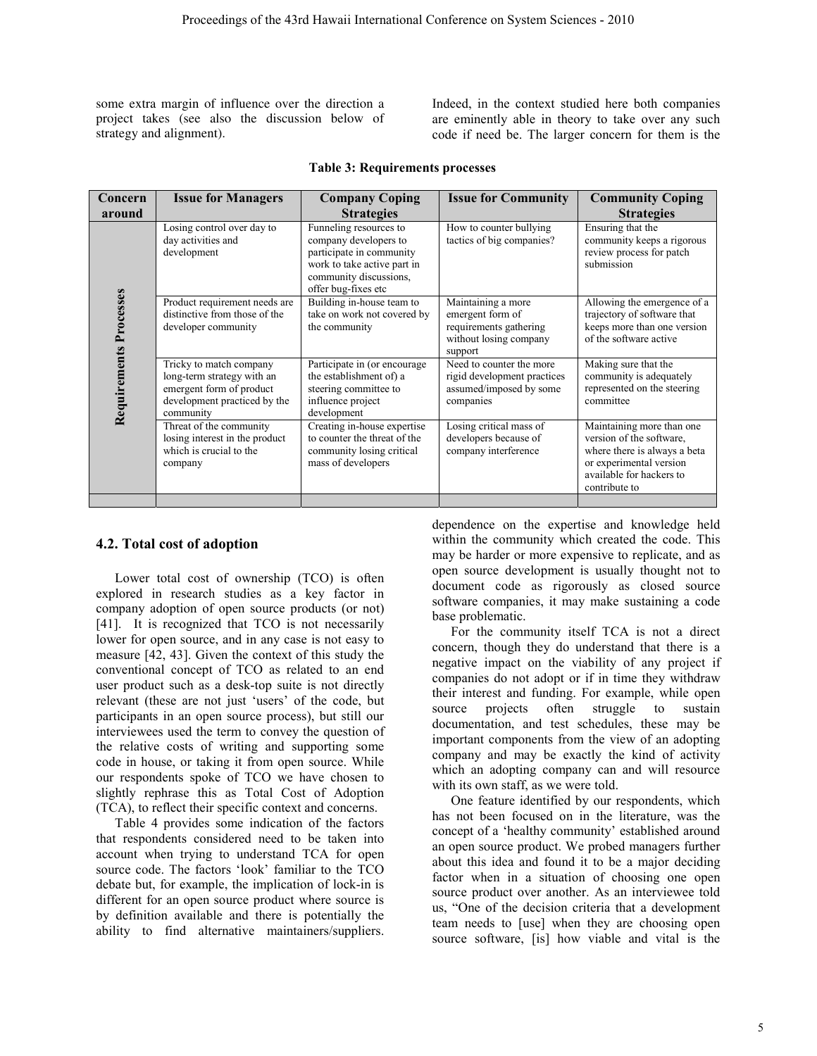some extra margin of influence over the direction a project takes (see also the discussion below of strategy and alignment).

Indeed, in the context studied here both companies are eminently able in theory to take over any such code if need be. The larger concern for them is the

| Concern                | <b>Issue for Managers</b>                                                                                                      | <b>Company Coping</b>                                                                                                                                       | <b>Issue for Community</b>                                                                            | <b>Community Coping</b>                                                                                                                                       |
|------------------------|--------------------------------------------------------------------------------------------------------------------------------|-------------------------------------------------------------------------------------------------------------------------------------------------------------|-------------------------------------------------------------------------------------------------------|---------------------------------------------------------------------------------------------------------------------------------------------------------------|
| around                 |                                                                                                                                | <b>Strategies</b>                                                                                                                                           |                                                                                                       | <b>Strategies</b>                                                                                                                                             |
|                        | Losing control over day to<br>day activities and<br>development                                                                | Funneling resources to<br>company developers to<br>participate in community<br>work to take active part in<br>community discussions.<br>offer bug-fixes etc | How to counter bullying<br>tactics of big companies?                                                  | Ensuring that the<br>community keeps a rigorous<br>review process for patch<br>submission                                                                     |
| Requirements Processes | Product requirement needs are<br>distinctive from those of the<br>developer community                                          | Building in-house team to<br>take on work not covered by<br>the community                                                                                   | Maintaining a more<br>emergent form of<br>requirements gathering<br>without losing company<br>support | Allowing the emergence of a<br>trajectory of software that<br>keeps more than one version<br>of the software active                                           |
|                        | Tricky to match company<br>long-term strategy with an<br>emergent form of product<br>development practiced by the<br>community | Participate in (or encourage<br>the establishment of) a<br>steering committee to<br>influence project<br>development                                        | Need to counter the more<br>rigid development practices<br>assumed/imposed by some<br>companies       | Making sure that the<br>community is adequately<br>represented on the steering<br>committee                                                                   |
|                        | Threat of the community<br>losing interest in the product<br>which is crucial to the<br>company                                | Creating in-house expertise<br>to counter the threat of the<br>community losing critical<br>mass of developers                                              | Losing critical mass of<br>developers because of<br>company interference                              | Maintaining more than one<br>version of the software,<br>where there is always a beta<br>or experimental version<br>available for hackers to<br>contribute to |
|                        |                                                                                                                                |                                                                                                                                                             |                                                                                                       |                                                                                                                                                               |

#### **Table 3: Requirements processes**

## **4.2. Total cost of adoption**

Lower total cost of ownership (TCO) is often explored in research studies as a key factor in company adoption of open source products (or not) [41]. It is recognized that TCO is not necessarily lower for open source, and in any case is not easy to measure [42, 43]. Given the context of this study the conventional concept of TCO as related to an end user product such as a desk-top suite is not directly relevant (these are not just 'users' of the code, but participants in an open source process), but still our interviewees used the term to convey the question of the relative costs of writing and supporting some code in house, or taking it from open source. While our respondents spoke of TCO we have chosen to slightly rephrase this as Total Cost of Adoption (TCA), to reflect their specific context and concerns.

Table 4 provides some indication of the factors that respondents considered need to be taken into account when trying to understand TCA for open source code. The factors 'look' familiar to the TCO debate but, for example, the implication of lock-in is different for an open source product where source is by definition available and there is potentially the ability to find alternative maintainers/suppliers.

dependence on the expertise and knowledge held within the community which created the code. This may be harder or more expensive to replicate, and as open source development is usually thought not to document code as rigorously as closed source software companies, it may make sustaining a code base problematic.

For the community itself TCA is not a direct concern, though they do understand that there is a negative impact on the viability of any project if companies do not adopt or if in time they withdraw their interest and funding. For example, while open source projects often struggle to sustain documentation, and test schedules, these may be important components from the view of an adopting company and may be exactly the kind of activity which an adopting company can and will resource with its own staff, as we were told.

One feature identified by our respondents, which has not been focused on in the literature, was the concept of a 'healthy community' established around an open source product. We probed managers further about this idea and found it to be a major deciding factor when in a situation of choosing one open source product over another. As an interviewee told us, "One of the decision criteria that a development team needs to [use] when they are choosing open source software, [is] how viable and vital is the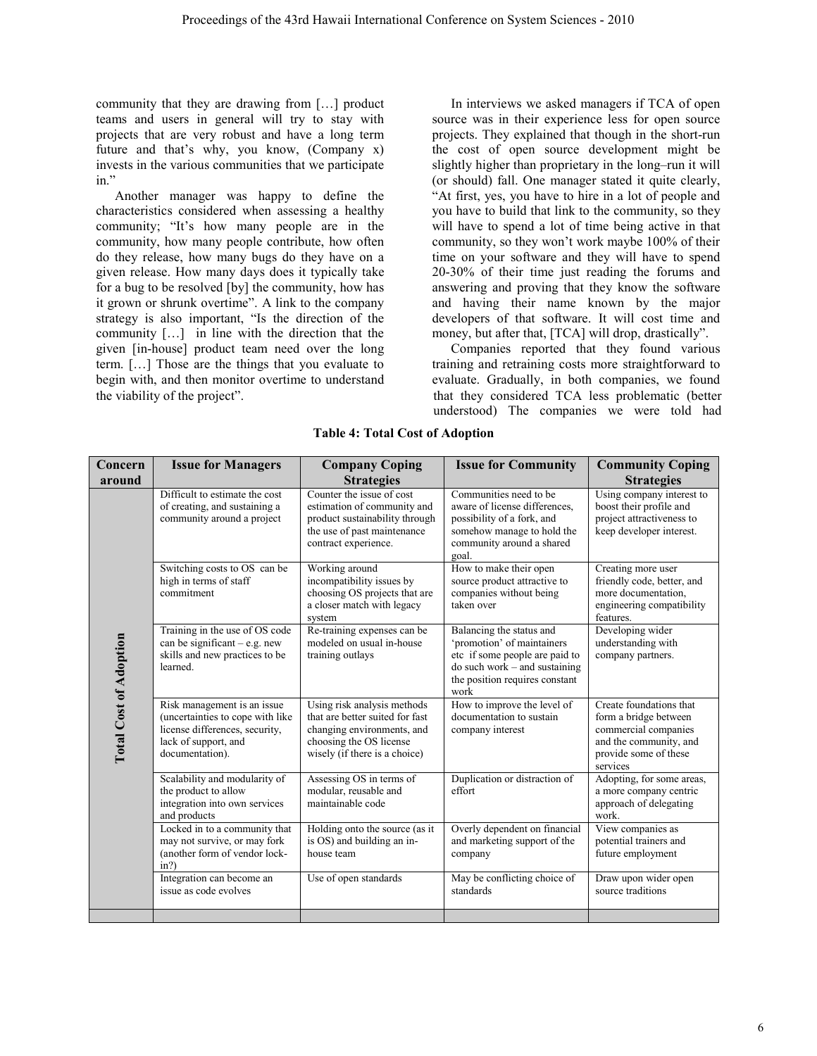community that they are drawing from […] product teams and users in general will try to stay with projects that are very robust and have a long term future and that's why, you know, (Company x) invests in the various communities that we participate in."

Another manager was happy to define the characteristics considered when assessing a healthy community; "It's how many people are in the community, how many people contribute, how often do they release, how many bugs do they have on a given release. How many days does it typically take for a bug to be resolved [by] the community, how has it grown or shrunk overtime". A link to the company strategy is also important, "Is the direction of the community […] in line with the direction that the given [in-house] product team need over the long term. […] Those are the things that you evaluate to begin with, and then monitor overtime to understand the viability of the project".

In interviews we asked managers if TCA of open source was in their experience less for open source projects. They explained that though in the short-run the cost of open source development might be slightly higher than proprietary in the long–run it will (or should) fall. One manager stated it quite clearly, "At first, yes, you have to hire in a lot of people and you have to build that link to the community, so they will have to spend a lot of time being active in that community, so they won't work maybe 100% of their time on your software and they will have to spend 20-30% of their time just reading the forums and answering and proving that they know the software and having their name known by the major developers of that software. It will cost time and money, but after that, [TCA] will drop, drastically".

Companies reported that they found various training and retraining costs more straightforward to evaluate. Gradually, in both companies, we found that they considered TCA less problematic (better understood) The companies we were told had

| Concern                       | <b>Issue for Managers</b>                                                                                                                    | <b>Company Coping</b>                                                                                                                                    | <b>Issue for Community</b>                                                                                                                                              | <b>Community Coping</b>                                                                                                                 |
|-------------------------------|----------------------------------------------------------------------------------------------------------------------------------------------|----------------------------------------------------------------------------------------------------------------------------------------------------------|-------------------------------------------------------------------------------------------------------------------------------------------------------------------------|-----------------------------------------------------------------------------------------------------------------------------------------|
| around                        |                                                                                                                                              | <b>Strategies</b>                                                                                                                                        |                                                                                                                                                                         | <b>Strategies</b>                                                                                                                       |
| <b>Total Cost of Adoption</b> | Difficult to estimate the cost<br>of creating, and sustaining a<br>community around a project                                                | Counter the issue of cost<br>estimation of community and<br>product sustainability through<br>the use of past maintenance<br>contract experience.        | Communities need to be<br>aware of license differences.<br>possibility of a fork, and<br>somehow manage to hold the<br>community around a shared<br>goal.               | Using company interest to<br>boost their profile and<br>project attractiveness to<br>keep developer interest.                           |
|                               | Switching costs to OS can be<br>high in terms of staff<br>commitment                                                                         | Working around<br>incompatibility issues by<br>choosing OS projects that are<br>a closer match with legacy<br>system                                     | How to make their open<br>source product attractive to<br>companies without being<br>taken over                                                                         | Creating more user<br>friendly code, better, and<br>more documentation.<br>engineering compatibility<br>features.                       |
|                               | Training in the use of OS code<br>can be significant $-$ e.g. new<br>skills and new practices to be<br>learned.                              | Re-training expenses can be<br>modeled on usual in-house<br>training outlays                                                                             | Balancing the status and<br>'promotion' of maintainers<br>etc if some people are paid to<br>$\phi$ such work – and sustaining<br>the position requires constant<br>work | Developing wider<br>understanding with<br>company partners.                                                                             |
|                               | Risk management is an issue<br>(uncertainties to cope with like<br>license differences, security,<br>lack of support, and<br>documentation). | Using risk analysis methods<br>that are better suited for fast<br>changing environments, and<br>choosing the OS license<br>wisely (if there is a choice) | How to improve the level of<br>documentation to sustain<br>company interest                                                                                             | Create foundations that<br>form a bridge between<br>commercial companies<br>and the community, and<br>provide some of these<br>services |
|                               | Scalability and modularity of<br>the product to allow<br>integration into own services<br>and products                                       | Assessing OS in terms of<br>modular, reusable and<br>maintainable code                                                                                   | Duplication or distraction of<br>effort                                                                                                                                 | Adopting, for some areas,<br>a more company centric<br>approach of delegating<br>work.                                                  |
|                               | Locked in to a community that<br>may not survive, or may fork<br>(another form of vendor lock-<br>in?                                        | Holding onto the source (as it<br>is OS) and building an in-<br>house team                                                                               | Overly dependent on financial<br>and marketing support of the<br>company                                                                                                | View companies as<br>potential trainers and<br>future employment                                                                        |
|                               | Integration can become an<br>issue as code evolves                                                                                           | Use of open standards                                                                                                                                    | May be conflicting choice of<br>standards                                                                                                                               | Draw upon wider open<br>source traditions                                                                                               |
|                               |                                                                                                                                              |                                                                                                                                                          |                                                                                                                                                                         |                                                                                                                                         |

## **Table 4: Total Cost of Adoption**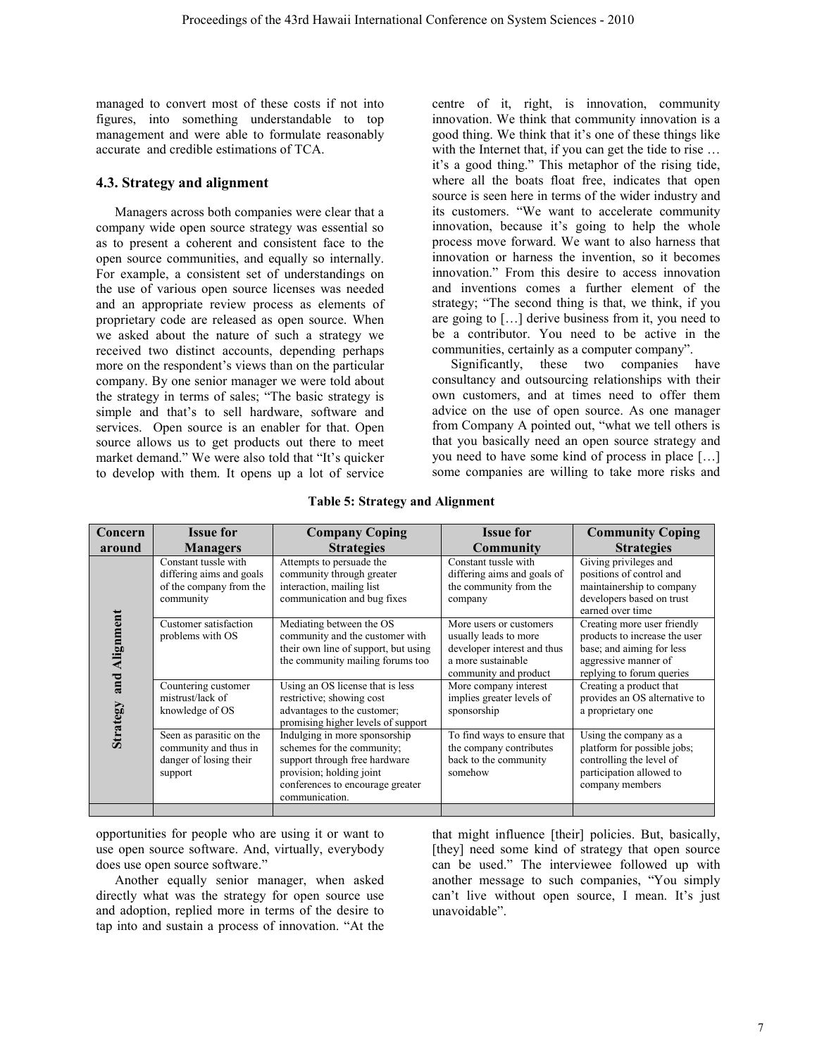managed to convert most of these costs if not into figures, into something understandable to top management and were able to formulate reasonably accurate and credible estimations of TCA.

## **4.3. Strategy and alignment**

Managers across both companies were clear that a company wide open source strategy was essential so as to present a coherent and consistent face to the open source communities, and equally so internally. For example, a consistent set of understandings on the use of various open source licenses was needed and an appropriate review process as elements of proprietary code are released as open source. When we asked about the nature of such a strategy we received two distinct accounts, depending perhaps more on the respondent's views than on the particular company. By one senior manager we were told about the strategy in terms of sales; "The basic strategy is simple and that's to sell hardware, software and services. Open source is an enabler for that. Open source allows us to get products out there to meet market demand." We were also told that "It's quicker to develop with them. It opens up a lot of service

centre of it, right, is innovation, community innovation. We think that community innovation is a good thing. We think that it's one of these things like with the Internet that, if you can get the tide to rise ... it's a good thing." This metaphor of the rising tide, where all the boats float free, indicates that open source is seen here in terms of the wider industry and its customers. "We want to accelerate community innovation, because it's going to help the whole process move forward. We want to also harness that innovation or harness the invention, so it becomes innovation." From this desire to access innovation and inventions comes a further element of the strategy; "The second thing is that, we think, if you are going to […] derive business from it, you need to be a contributor. You need to be active in the communities, certainly as a computer company".

Significantly, these two companies have consultancy and outsourcing relationships with their own customers, and at times need to offer them advice on the use of open source. As one manager from Company A pointed out, "what we tell others is that you basically need an open source strategy and you need to have some kind of process in place […] some companies are willing to take more risks and

| Concern                      | <b>Issue for</b>                                                                         | <b>Company Coping</b>                                                                                                                                                          | <b>Issue for</b>                                                                                                               | <b>Community Coping</b>                                                                                                                        |
|------------------------------|------------------------------------------------------------------------------------------|--------------------------------------------------------------------------------------------------------------------------------------------------------------------------------|--------------------------------------------------------------------------------------------------------------------------------|------------------------------------------------------------------------------------------------------------------------------------------------|
| around                       | <b>Managers</b>                                                                          | <b>Strategies</b>                                                                                                                                                              | Community                                                                                                                      | <b>Strategies</b>                                                                                                                              |
| Alignment<br>and<br>Strategy | Constant tussle with<br>differing aims and goals<br>of the company from the<br>community | Attempts to persuade the<br>community through greater<br>interaction, mailing list<br>communication and bug fixes                                                              | Constant tussle with<br>differing aims and goals of<br>the community from the<br>company                                       | Giving privileges and<br>positions of control and<br>maintainership to company<br>developers based on trust<br>earned over time                |
|                              | Customer satisfaction<br>problems with OS                                                | Mediating between the OS<br>community and the customer with<br>their own line of support, but using<br>the community mailing forums too                                        | More users or customers<br>usually leads to more<br>developer interest and thus<br>a more sustainable<br>community and product | Creating more user friendly<br>products to increase the user<br>base; and aiming for less<br>aggressive manner of<br>replying to forum queries |
|                              | Countering customer<br>mistrust/lack of<br>knowledge of OS                               | Using an OS license that is less<br>restrictive; showing cost<br>advantages to the customer;<br>promising higher levels of support                                             | More company interest<br>implies greater levels of<br>sponsorship                                                              | Creating a product that<br>provides an OS alternative to<br>a proprietary one                                                                  |
|                              | Seen as parasitic on the<br>community and thus in<br>danger of losing their<br>support   | Indulging in more sponsorship<br>schemes for the community;<br>support through free hardware<br>provision; holding joint<br>conferences to encourage greater<br>communication. | To find ways to ensure that<br>the company contributes<br>back to the community<br>somehow                                     | Using the company as a<br>platform for possible jobs;<br>controlling the level of<br>participation allowed to<br>company members               |
|                              |                                                                                          |                                                                                                                                                                                |                                                                                                                                |                                                                                                                                                |

**Table 5: Strategy and Alignment** 

opportunities for people who are using it or want to use open source software. And, virtually, everybody does use open source software."

Another equally senior manager, when asked directly what was the strategy for open source use and adoption, replied more in terms of the desire to tap into and sustain a process of innovation. "At the

that might influence [their] policies. But, basically, [they] need some kind of strategy that open source can be used." The interviewee followed up with another message to such companies, "You simply can't live without open source, I mean. It's just unavoidable".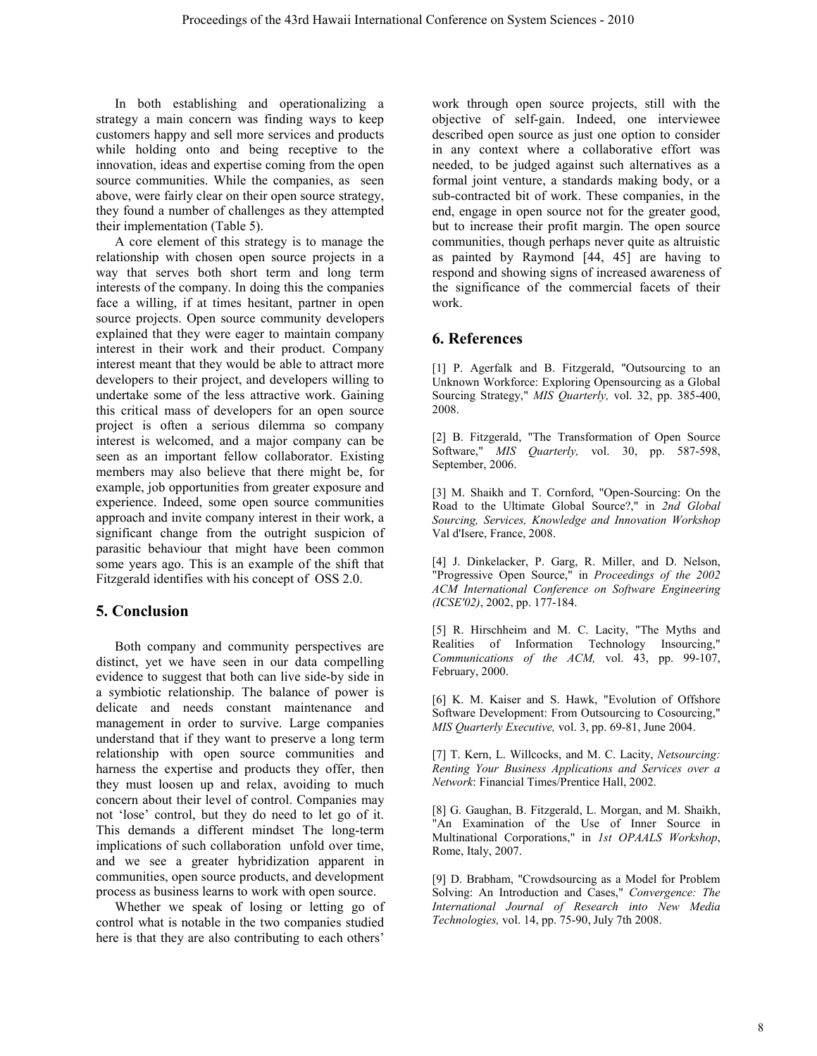In both establishing and operationalizing a strategy a main concern was finding ways to keep customers happy and sell more services and products while holding onto and being receptive to the innovation, ideas and expertise coming from the open source communities. While the companies, as seen above, were fairly clear on their open source strategy, they found a number of challenges as they attempted their implementation (Table 5).

A core element of this strategy is to manage the relationship with chosen open source projects in a way that serves both short term and long term interests of the company. In doing this the companies face a willing, if at times hesitant, partner in open source projects. Open source community developers explained that they were eager to maintain company interest in their work and their product. Company interest meant that they would be able to attract more developers to their project, and developers willing to undertake some of the less attractive work. Gaining this critical mass of developers for an open source project is often a serious dilemma so company interest is welcomed, and a major company can be seen as an important fellow collaborator. Existing members may also believe that there might be, for example, job opportunities from greater exposure and experience. Indeed, some open source communities approach and invite company interest in their work, a significant change from the outright suspicion of parasitic behaviour that might have been common some years ago. This is an example of the shift that Fitzgerald identifies with his concept of OSS 2.0.

# **5. Conclusion**

Both company and community perspectives are distinct, yet we have seen in our data compelling evidence to suggest that both can live side-by side in a symbiotic relationship. The balance of power is delicate and needs constant maintenance and management in order to survive. Large companies understand that if they want to preserve a long term relationship with open source communities and harness the expertise and products they offer, then they must loosen up and relax, avoiding to much concern about their level of control. Companies may not 'lose' control, but they do need to let go of it. This demands a different mindset The long-term implications of such collaboration unfold over time, and we see a greater hybridization apparent in communities, open source products, and development process as business learns to work with open source.

Whether we speak of losing or letting go of control what is notable in the two companies studied here is that they are also contributing to each others'

work through open source projects, still with the objective of self-gain. Indeed, one interviewee described open source as just one option to consider in any context where a collaborative effort was needed, to be judged against such alternatives as a formal joint venture, a standards making body, or a sub-contracted bit of work. These companies, in the end, engage in open source not for the greater good, but to increase their profit margin. The open source communities, though perhaps never quite as altruistic as painted by Raymond [44, 45] are having to respond and showing signs of increased awareness of the significance of the commercial facets of their work.

# **6. References**

[1] P. Agerfalk and B. Fitzgerald, "Outsourcing to an Unknown Workforce: Exploring Opensourcing as a Global Sourcing Strategy," *MIS Quarterly,* vol. 32, pp. 385-400, 2008.

[2] B. Fitzgerald, "The Transformation of Open Source Software," *MIS Quarterly,* vol. 30, pp. 587-598, September, 2006.

[3] M. Shaikh and T. Cornford, "Open-Sourcing: On the Road to the Ultimate Global Source?," in *2nd Global Sourcing, Services, Knowledge and Innovation Workshop*  Val d'Isere, France, 2008.

[4] J. Dinkelacker, P. Garg, R. Miller, and D. Nelson, "Progressive Open Source," in *Proceedings of the 2002 ACM International Conference on Software Engineering (ICSE'02)*, 2002, pp. 177-184.

[5] R. Hirschheim and M. C. Lacity, "The Myths and Realities of Information Technology Insourcing," *Communications of the ACM,* vol. 43, pp. 99-107, February, 2000.

[6] K. M. Kaiser and S. Hawk, "Evolution of Offshore Software Development: From Outsourcing to Cosourcing," *MIS Quarterly Executive,* vol. 3, pp. 69-81, June 2004.

[7] T. Kern, L. Willcocks, and M. C. Lacity, *Netsourcing: Renting Your Business Applications and Services over a Network*: Financial Times/Prentice Hall, 2002.

[8] G. Gaughan, B. Fitzgerald, L. Morgan, and M. Shaikh, "An Examination of the Use of Inner Source in Multinational Corporations," in *1st OPAALS Workshop*, Rome, Italy, 2007.

[9] D. Brabham, "Crowdsourcing as a Model for Problem Solving: An Introduction and Cases," *Convergence: The International Journal of Research into New Media Technologies,* vol. 14, pp. 75-90, July 7th 2008.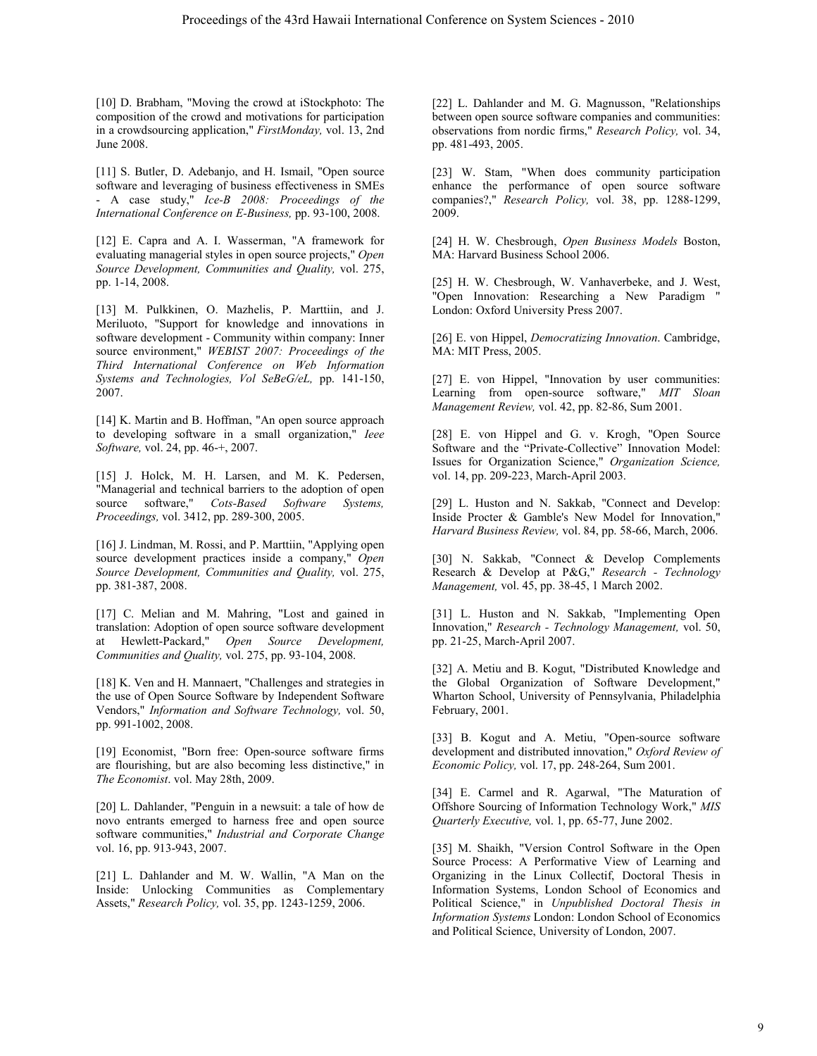[10] D. Brabham, "Moving the crowd at iStockphoto: The composition of the crowd and motivations for participation in a crowdsourcing application," *FirstMonday,* vol. 13, 2nd June 2008.

[11] S. Butler, D. Adebanjo, and H. Ismail, "Open source software and leveraging of business effectiveness in SMEs - A case study," *Ice-B 2008: Proceedings of the International Conference on E-Business,* pp. 93-100, 2008.

[12] E. Capra and A. I. Wasserman, "A framework for evaluating managerial styles in open source projects," *Open Source Development, Communities and Quality,* vol. 275, pp. 1-14, 2008.

[13] M. Pulkkinen, O. Mazhelis, P. Marttiin, and J. Meriluoto, "Support for knowledge and innovations in software development - Community within company: Inner source environment," *WEBIST 2007: Proceedings of the Third International Conference on Web Information Systems and Technologies, Vol SeBeG/eL,* pp. 141-150, 2007.

[14] K. Martin and B. Hoffman, "An open source approach to developing software in a small organization," *Ieee Software,* vol. 24, pp. 46-+, 2007.

[15] J. Holck, M. H. Larsen, and M. K. Pedersen, "Managerial and technical barriers to the adoption of open source software," *Cots-Based Software Systems, Proceedings,* vol. 3412, pp. 289-300, 2005.

[16] J. Lindman, M. Rossi, and P. Marttiin, "Applying open source development practices inside a company," *Open Source Development, Communities and Quality,* vol. 275, pp. 381-387, 2008.

[17] C. Melian and M. Mahring, "Lost and gained in translation: Adoption of open source software development at Hewlett-Packard," *Open Source Development, Communities and Quality,* vol. 275, pp. 93-104, 2008.

[18] K. Ven and H. Mannaert, "Challenges and strategies in the use of Open Source Software by Independent Software Vendors," *Information and Software Technology,* vol. 50, pp. 991-1002, 2008.

[19] Economist, "Born free: Open-source software firms are flourishing, but are also becoming less distinctive," in *The Economist*. vol. May 28th, 2009.

[20] L. Dahlander, "Penguin in a newsuit: a tale of how de novo entrants emerged to harness free and open source software communities," *Industrial and Corporate Change*  vol. 16, pp. 913-943, 2007.

[21] L. Dahlander and M. W. Wallin, "A Man on the Inside: Unlocking Communities as Complementary Assets," *Research Policy,* vol. 35, pp. 1243-1259, 2006.

[22] L. Dahlander and M. G. Magnusson, "Relationships between open source software companies and communities: observations from nordic firms," *Research Policy,* vol. 34, pp. 481-493, 2005.

[23] W. Stam, "When does community participation enhance the performance of open source software companies?," *Research Policy,* vol. 38, pp. 1288-1299, 2009.

[24] H. W. Chesbrough, *Open Business Models* Boston, MA: Harvard Business School 2006.

[25] H. W. Chesbrough, W. Vanhaverbeke, and J. West, "Open Innovation: Researching a New Paradigm " London: Oxford University Press 2007.

[26] E. von Hippel, *Democratizing Innovation*. Cambridge, MA: MIT Press, 2005.

[27] E. von Hippel, "Innovation by user communities: Learning from open-source software," *MIT Sloan Management Review,* vol. 42, pp. 82-86, Sum 2001.

[28] E. von Hippel and G. v. Krogh, "Open Source Software and the "Private-Collective" Innovation Model: Issues for Organization Science," *Organization Science,*  vol. 14, pp. 209-223, March-April 2003.

[29] L. Huston and N. Sakkab, "Connect and Develop: Inside Procter & Gamble's New Model for Innovation," *Harvard Business Review,* vol. 84, pp. 58-66, March, 2006.

[30] N. Sakkab, "Connect & Develop Complements Research & Develop at P&G," *Research - Technology Management,* vol. 45, pp. 38-45, 1 March 2002.

[31] L. Huston and N. Sakkab, "Implementing Open Innovation," *Research - Technology Management,* vol. 50, pp. 21-25, March-April 2007.

[32] A. Metiu and B. Kogut, "Distributed Knowledge and the Global Organization of Software Development," Wharton School, University of Pennsylvania, Philadelphia February, 2001.

[33] B. Kogut and A. Metiu, "Open-source software development and distributed innovation," *Oxford Review of Economic Policy,* vol. 17, pp. 248-264, Sum 2001.

[34] E. Carmel and R. Agarwal, "The Maturation of Offshore Sourcing of Information Technology Work," *MIS Quarterly Executive,* vol. 1, pp. 65-77, June 2002.

[35] M. Shaikh, "Version Control Software in the Open Source Process: A Performative View of Learning and Organizing in the Linux Collectif, Doctoral Thesis in Information Systems, London School of Economics and Political Science," in *Unpublished Doctoral Thesis in Information Systems* London: London School of Economics and Political Science, University of London, 2007.